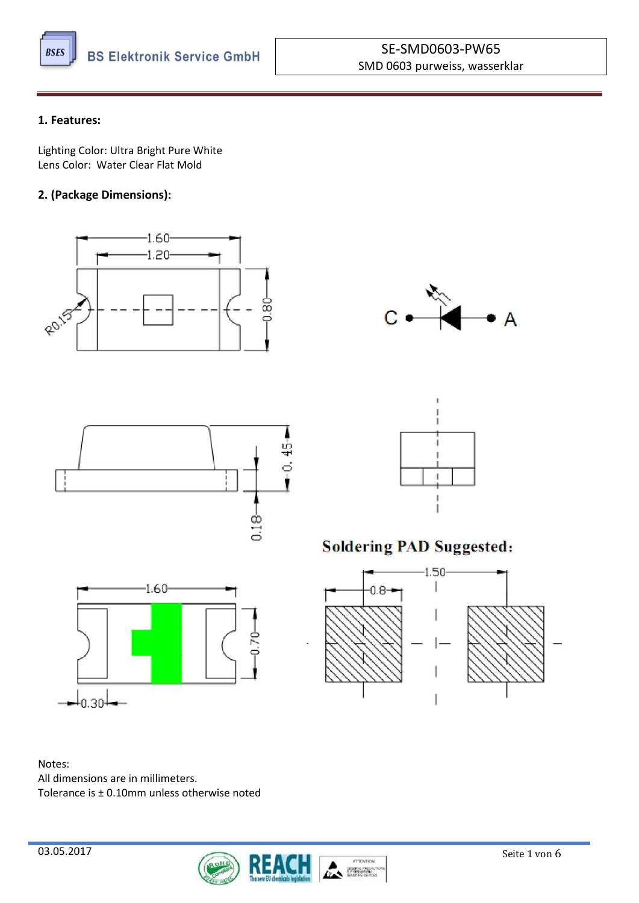

#### **1. Features:**

Lighting Color: Ultra Bright Pure White Lens Color: Water Clear Flat Mold

### **2. (Package Dimensions):**







# **Soldering PAD Suggested:**



Notes: All dimensions are in millimeters. Tolerance is ± 0.10mm unless otherwise noted

 $\downarrow_{0.30}$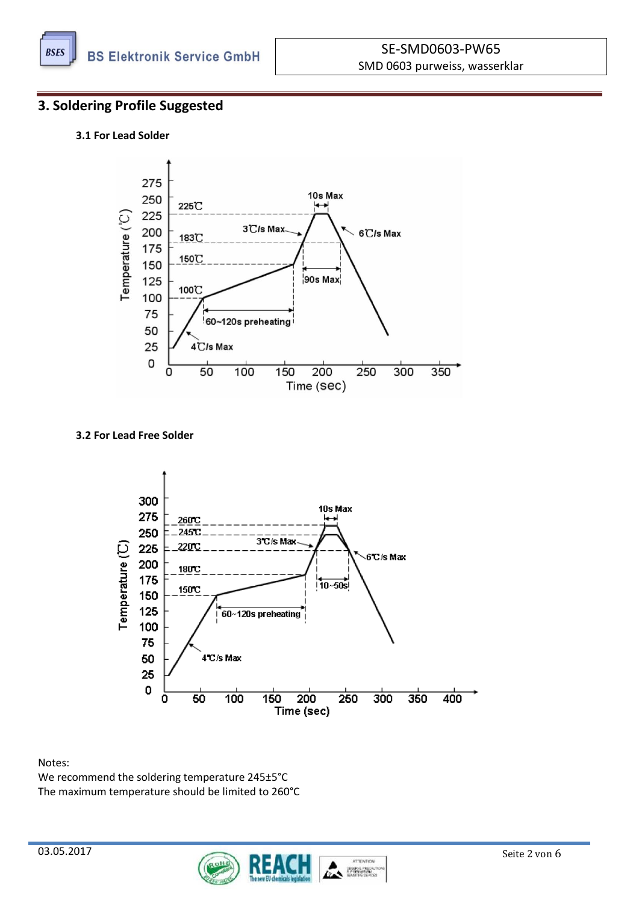

### **3. Soldering Profile Suggested**

#### **3.1 For Lead Solder**



#### **3.2 For Lead Free Solder**



Notes:

We recommend the soldering temperature 245±5°C The maximum temperature should be limited to 260°C

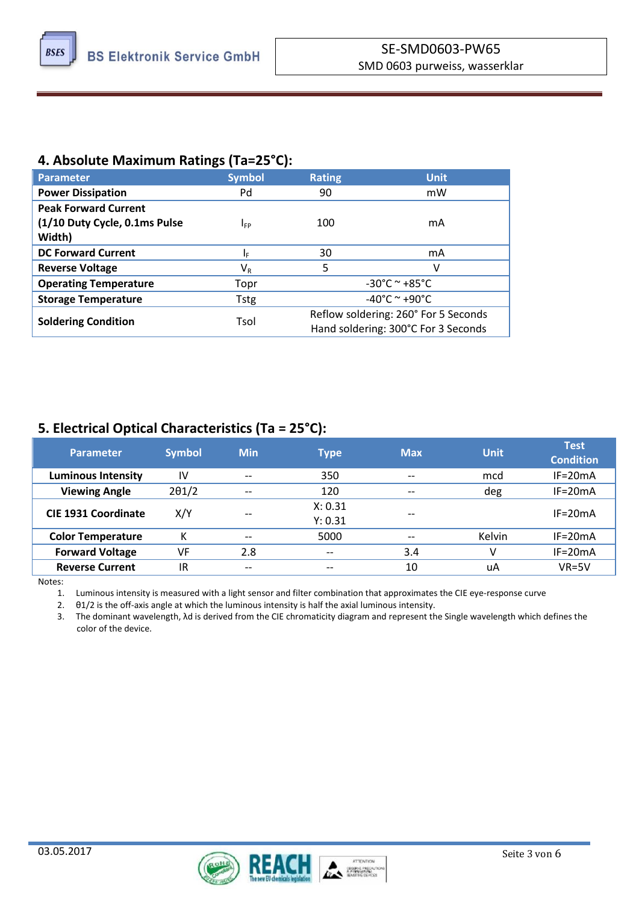

# **4. Absolute Maximum Ratings (Ta=25°C):**

| <b>Parameter</b>              | <b>Symbol</b>           | <b>Rating</b>                        | <b>Unit</b>                       |  |
|-------------------------------|-------------------------|--------------------------------------|-----------------------------------|--|
| <b>Power Dissipation</b>      | Pd                      | 90                                   | mW                                |  |
| <b>Peak Forward Current</b>   |                         |                                      |                                   |  |
| (1/10 Duty Cycle, 0.1ms Pulse | <b>I</b> <sub>FP</sub>  | 100                                  | mA                                |  |
| Width)                        |                         |                                      |                                   |  |
| <b>DC Forward Current</b>     | ΙF                      | 30                                   | mA                                |  |
| <b>Reverse Voltage</b>        | $\mathsf{V}_\mathsf{R}$ | 5                                    | v                                 |  |
| <b>Operating Temperature</b>  | Topr                    |                                      | $-30^{\circ}$ C ~ $+85^{\circ}$ C |  |
| <b>Storage Temperature</b>    | <b>Tstg</b>             | $-40^{\circ}$ C ~ +90 $^{\circ}$ C   |                                   |  |
|                               |                         | Reflow soldering: 260° For 5 Seconds |                                   |  |
| <b>Soldering Condition</b>    | Tsol                    | Hand soldering: 300°C For 3 Seconds  |                                   |  |

# **5. Electrical Optical Characteristics (Ta = 25°C):**

| <b>Parameter</b>           | <b>Symbol</b> | <b>Min</b>        | Type                                  | <b>Max</b>                            | <b>Unit</b> | <b>Test</b><br><b>Condition</b> |
|----------------------------|---------------|-------------------|---------------------------------------|---------------------------------------|-------------|---------------------------------|
| <b>Luminous Intensity</b>  | IV            | $- -$             | 350                                   | $\hspace{0.05cm}$ – $\hspace{0.05cm}$ | mcd         | $IF = 20mA$                     |
| <b>Viewing Angle</b>       | $2\theta$ 1/2 | $- -$             | 120                                   | $- -$                                 | deg         | $IF=20mA$                       |
| <b>CIE 1931 Coordinate</b> | X/Y           | $- -$             | X: 0.31<br>Y: 0.31                    | $- -$                                 |             | $IF = 20mA$                     |
| <b>Color Temperature</b>   | К             | $- -$             | 5000                                  | $- -$                                 | Kelvin      | $IF = 20mA$                     |
| <b>Forward Voltage</b>     | VF            | 2.8               | $\hspace{0.05cm}$ – $\hspace{0.05cm}$ | 3.4                                   |             | $IF = 20mA$                     |
| <b>Reverse Current</b>     | IR            | $\qquad \qquad -$ | --                                    | 10                                    | uA          | $VR = 5V$                       |

Notes:

1. Luminous intensity is measured with a light sensor and filter combination that approximates the CIE eye-response curve

2. θ1/2 is the off-axis angle at which the luminous intensity is half the axial luminous intensity.

3. The dominant wavelength, λd is derived from the CIE chromaticity diagram and represent the Single wavelength which defines the color of the device.

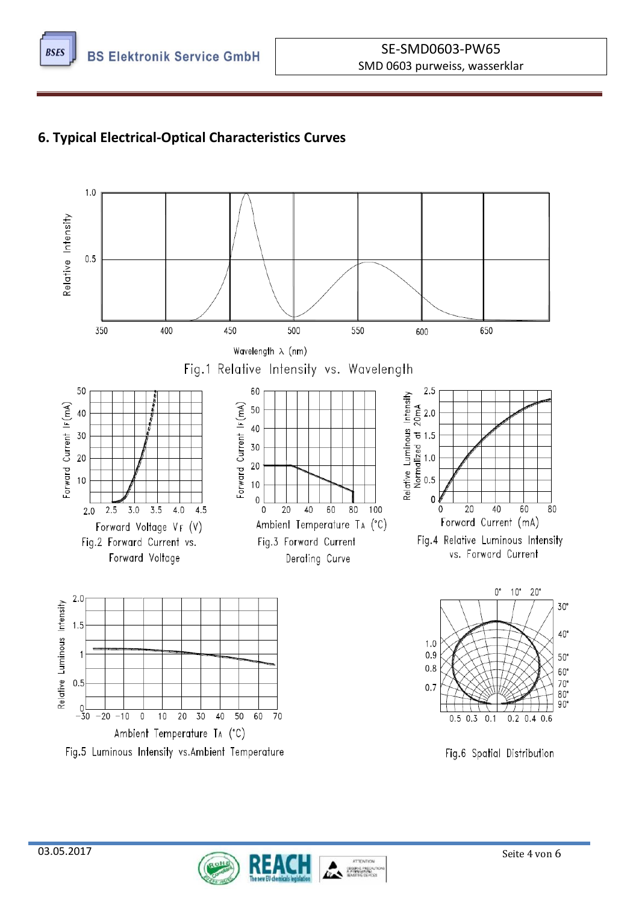

# **6. Typical Electrical-Optical Characteristics Curves**



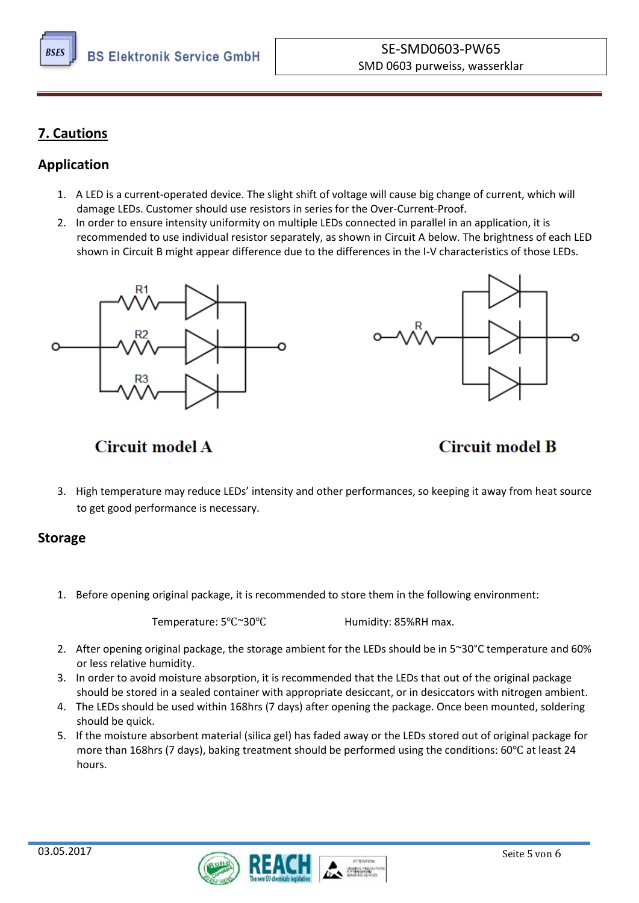

# **7. Cautions**

# **Application**

- 1. A LED is a current-operated device. The slight shift of voltage will cause big change of current, which will damage LEDs. Customer should use resistors in series for the Over-Current-Proof.
- 2. In order to ensure intensity uniformity on multiple LEDs connected in parallel in an application, it is recommended to use individual resistor separately, as shown in Circuit A below. The brightness of each LED shown in Circuit B might appear difference due to the differences in the I-V characteristics of those LEDs.





# **Circuit model A**

# **Circuit model B**

3. High temperature may reduce LEDs' intensity and other performances, so keeping it away from heat source to get good performance is necessary.

# **Storage**

1. Before opening original package, it is recommended to store them in the following environment:

Temperature: 5℃~30℃ Humidity: 85%RH max.

- 2. After opening original package, the storage ambient for the LEDs should be in 5~30°C temperature and 60% or less relative humidity.
- 3. In order to avoid moisture absorption, it is recommended that the LEDs that out of the original package should be stored in a sealed container with appropriate desiccant, or in desiccators with nitrogen ambient.
- 4. The LEDs should be used within 168hrs (7 days) after opening the package. Once been mounted, soldering should be quick.
- 5. If the moisture absorbent material (silica gel) has faded away or the LEDs stored out of original package for more than 168hrs (7 days), baking treatment should be performed using the conditions: 60℃ at least 24 hours.